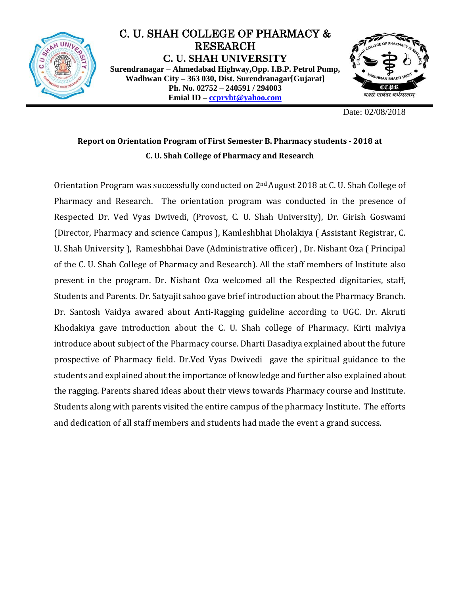

## C. U. SHAH COLLEGE OF PHARMACY & RESEARCH **C. U. SHAH UNIVERSITY Surendranagar – Ahmedabad Highway,Opp. I.B.P. Petrol Pump, Wadhwan City – 363 030, Dist. Surendranagar[Gujarat] Ph. No. 02752 – 240591 / 294003 Emial ID – [ccprvbt@yahoo.com](mailto:ccprvbt@yahoo.com)**



Date: 02/08/2018

## **Report on Orientation Program of First Semester B. Pharmacy students - 2018 at C. U. Shah College of Pharmacy and Research**

Orientation Program was successfully conducted on 2nd August 2018 at C. U. Shah College of Pharmacy and Research. The orientation program was conducted in the presence of Respected Dr. Ved Vyas Dwivedi, (Provost, C. U. Shah University), Dr. Girish Goswami (Director, Pharmacy and science Campus ), Kamleshbhai Dholakiya ( Assistant Registrar, C. U. Shah University ), Rameshbhai Dave (Administrative officer) , Dr. Nishant Oza ( Principal of the C. U. Shah College of Pharmacy and Research). All the staff members of Institute also present in the program. Dr. Nishant Oza welcomed all the Respected dignitaries, staff, Students and Parents. Dr. Satyajit sahoo gave brief introduction about the Pharmacy Branch. Dr. Santosh Vaidya awared about Anti-Ragging guideline according to UGC. Dr. Akruti Khodakiya gave introduction about the C. U. Shah college of Pharmacy. Kirti malviya introduce about subject of the Pharmacy course. Dharti Dasadiya explained about the future prospective of Pharmacy field. Dr.Ved Vyas Dwivedi gave the spiritual guidance to the students and explained about the importance of knowledge and further also explained about the ragging. Parents shared ideas about their views towards Pharmacy course and Institute. Students along with parents visited the entire campus of the pharmacy Institute. The efforts and dedication of all staff members and students had made the event a grand success.